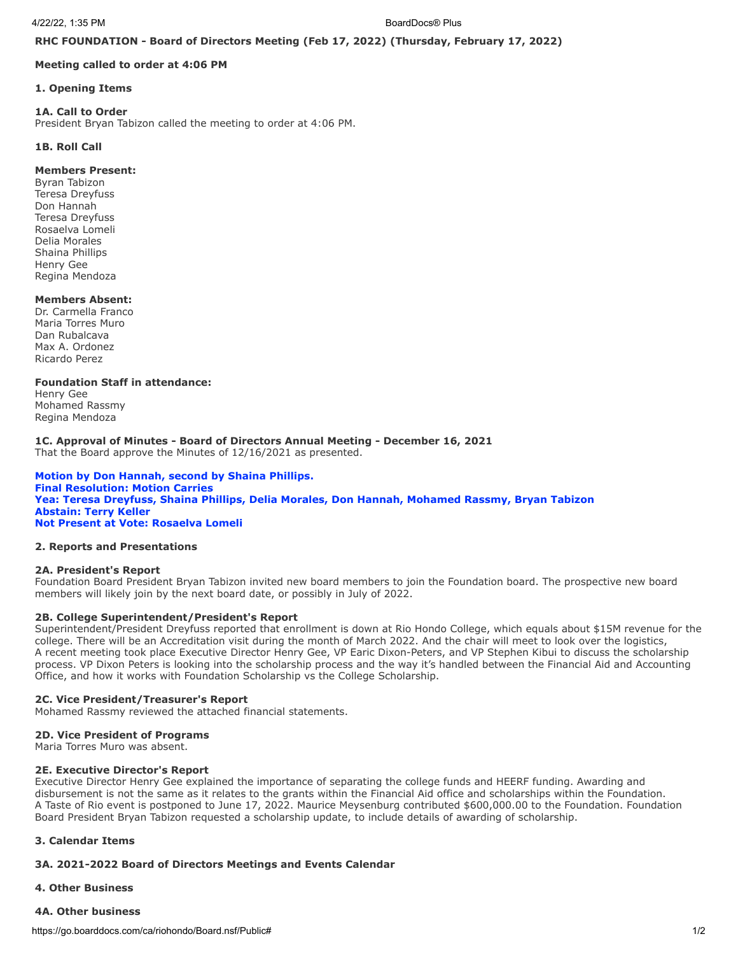**RHC FOUNDATION - Board of Directors Meeting (Feb 17, 2022) (Thursday, February 17, 2022)**

### **Meeting called to order at 4:06 PM**

#### **1. Opening Items**

## **1A. Call to Order**

President Bryan Tabizon called the meeting to order at 4:06 PM.

## **1B. Roll Call**

## **Members Present:**

Byran Tabizon Teresa Dreyfuss Don Hannah Teresa Dreyfuss Rosaelva Lomeli Delia Morales Shaina Phillips Henry Gee Regina Mendoza

## **Members Absent:**

Dr. Carmella Franco Maria Torres Muro Dan Rubalcava Max A. Ordonez Ricardo Perez

**Foundation Staff in attendance:**

Henry Gee Mohamed Rassmy Regina Mendoza

#### **1C. Approval of Minutes - Board of Directors Annual Meeting - December 16, 2021** That the Board approve the Minutes of 12/16/2021 as presented.

**Motion by Don Hannah, second by Shaina Phillips. Final Resolution: Motion Carries Yea: Teresa Dreyfuss, Shaina Phillips, Delia Morales, Don Hannah, Mohamed Rassmy, Bryan Tabizon Abstain: Terry Keller Not Present at Vote: Rosaelva Lomeli**

#### **2. Reports and Presentations**

#### **2A. President's Report**

Foundation Board President Bryan Tabizon invited new board members to join the Foundation board. The prospective new board members will likely join by the next board date, or possibly in July of 2022.

# **2B. College Superintendent/President's Report**

Superintendent/President Dreyfuss reported that enrollment is down at Rio Hondo College, which equals about \$15M revenue for the college. There will be an Accreditation visit during the month of March 2022. And the chair will meet to look over the logistics, A recent meeting took place Executive Director Henry Gee, VP Earic Dixon-Peters, and VP Stephen Kibui to discuss the scholarship process. VP Dixon Peters is looking into the scholarship process and the way it's handled between the Financial Aid and Accounting Office, and how it works with Foundation Scholarship vs the College Scholarship.

#### **2C. Vice President/Treasurer's Report**

Mohamed Rassmy reviewed the attached financial statements.

#### **2D. Vice President of Programs**

Maria Torres Muro was absent.

### **2E. Executive Director's Report**

Executive Director Henry Gee explained the importance of separating the college funds and HEERF funding. Awarding and disbursement is not the same as it relates to the grants within the Financial Aid office and scholarships within the Foundation. A Taste of Rio event is postponed to June 17, 2022. Maurice Meysenburg contributed \$600,000.00 to the Foundation. Foundation Board President Bryan Tabizon requested a scholarship update, to include details of awarding of scholarship.

## **3. Calendar Items**

# **3A. 2021-2022 Board of Directors Meetings and Events Calendar**

## **4. Other Business**

# **4A. Other business**